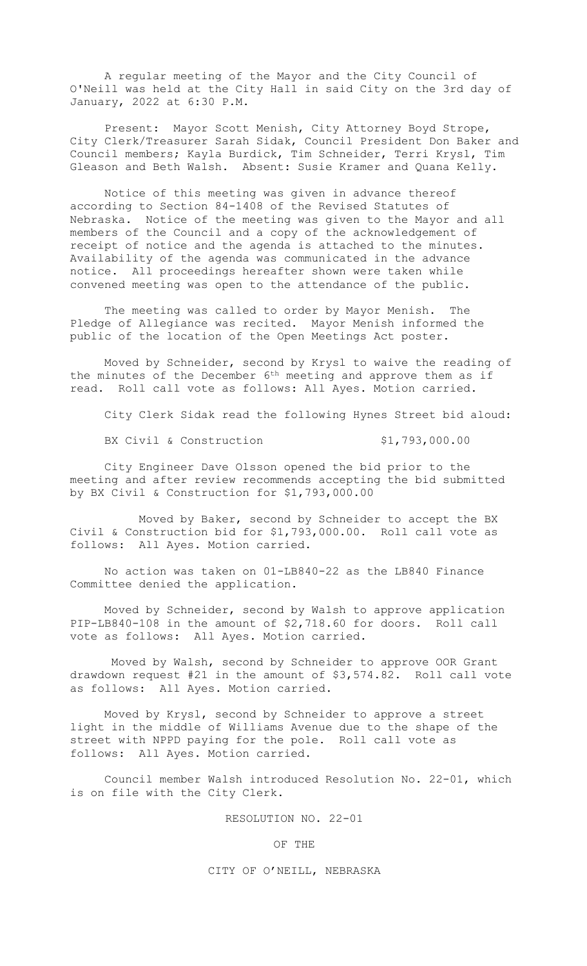A regular meeting of the Mayor and the City Council of O'Neill was held at the City Hall in said City on the 3rd day of January, 2022 at 6:30 P.M.

Present: Mayor Scott Menish, City Attorney Boyd Strope, City Clerk/Treasurer Sarah Sidak, Council President Don Baker and Council members; Kayla Burdick, Tim Schneider, Terri Krysl, Tim Gleason and Beth Walsh. Absent: Susie Kramer and Quana Kelly.

Notice of this meeting was given in advance thereof according to Section 84-1408 of the Revised Statutes of Nebraska. Notice of the meeting was given to the Mayor and all members of the Council and a copy of the acknowledgement of receipt of notice and the agenda is attached to the minutes. Availability of the agenda was communicated in the advance notice. All proceedings hereafter shown were taken while convened meeting was open to the attendance of the public.

The meeting was called to order by Mayor Menish. The Pledge of Allegiance was recited. Mayor Menish informed the public of the location of the Open Meetings Act poster.

Moved by Schneider, second by Krysl to waive the reading of the minutes of the December  $6<sup>th</sup>$  meeting and approve them as if read. Roll call vote as follows: All Ayes. Motion carried.

City Clerk Sidak read the following Hynes Street bid aloud:

BX Civil & Construction \$1,793,000.00

City Engineer Dave Olsson opened the bid prior to the meeting and after review recommends accepting the bid submitted by BX Civil & Construction for \$1,793,000.00

Moved by Baker, second by Schneider to accept the BX Civil & Construction bid for \$1,793,000.00. Roll call vote as follows: All Ayes. Motion carried.

No action was taken on 01-LB840-22 as the LB840 Finance Committee denied the application.

Moved by Schneider, second by Walsh to approve application PIP-LB840-108 in the amount of \$2,718.60 for doors. Roll call vote as follows: All Ayes. Motion carried.

Moved by Walsh, second by Schneider to approve OOR Grant drawdown request #21 in the amount of \$3,574.82. Roll call vote as follows: All Ayes. Motion carried.

Moved by Krysl, second by Schneider to approve a street light in the middle of Williams Avenue due to the shape of the street with NPPD paying for the pole. Roll call vote as follows: All Ayes. Motion carried.

Council member Walsh introduced Resolution No. 22-01, which is on file with the City Clerk.

RESOLUTION NO. 22-01

OF THE

## CITY OF O'NEILL, NEBRASKA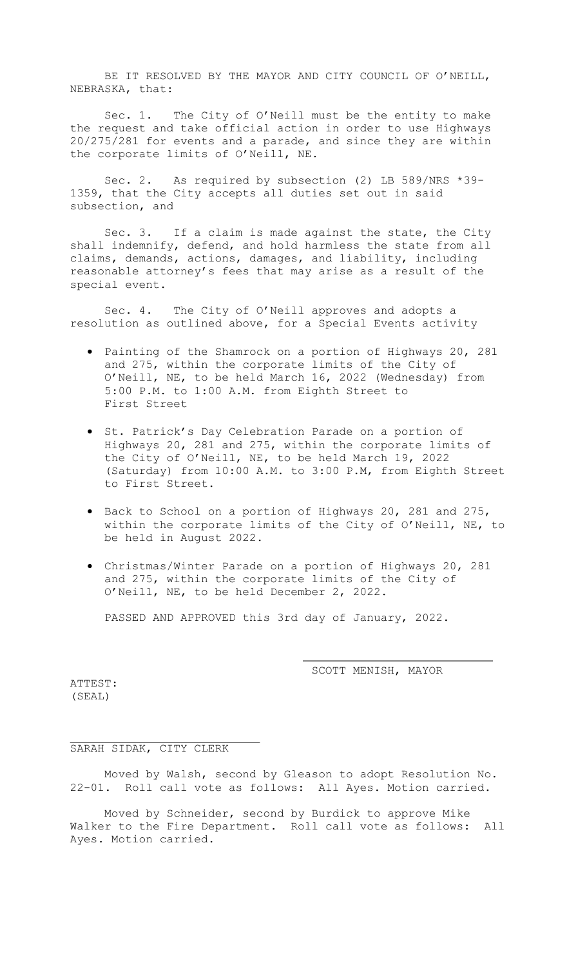BE IT RESOLVED BY THE MAYOR AND CITY COUNCIL OF O'NEILL, NEBRASKA, that:

Sec. 1. The City of O'Neill must be the entity to make the request and take official action in order to use Highways 20/275/281 for events and a parade, and since they are within the corporate limits of O'Neill, NE.

Sec. 2. As required by subsection (2) LB 589/NRS \*39- 1359, that the City accepts all duties set out in said subsection, and

Sec. 3. If a claim is made against the state, the City shall indemnify, defend, and hold harmless the state from all claims, demands, actions, damages, and liability, including reasonable attorney's fees that may arise as a result of the special event.

Sec. 4. The City of O'Neill approves and adopts a resolution as outlined above, for a Special Events activity

- Painting of the Shamrock on a portion of Highways 20, 281 and 275, within the corporate limits of the City of O'Neill, NE, to be held March 16, 2022 (Wednesday) from 5:00 P.M. to 1:00 A.M. from Eighth Street to First Street
- St. Patrick's Day Celebration Parade on a portion of Highways 20, 281 and 275, within the corporate limits of the City of O'Neill, NE, to be held March 19, 2022 (Saturday) from 10:00 A.M. to 3:00 P.M, from Eighth Street to First Street.
- Back to School on a portion of Highways 20, 281 and 275, within the corporate limits of the City of O'Neill, NE, to be held in August 2022.
- Christmas/Winter Parade on a portion of Highways 20, 281 and 275, within the corporate limits of the City of O'Neill, NE, to be held December 2, 2022.

PASSED AND APPROVED this 3rd day of January, 2022.

SCOTT MENISH, MAYOR

ATTEST: (SEAL)

## SARAH SIDAK, CITY CLERK

Moved by Walsh, second by Gleason to adopt Resolution No. 22-01. Roll call vote as follows: All Ayes. Motion carried.

Moved by Schneider, second by Burdick to approve Mike Walker to the Fire Department. Roll call vote as follows: All Ayes. Motion carried.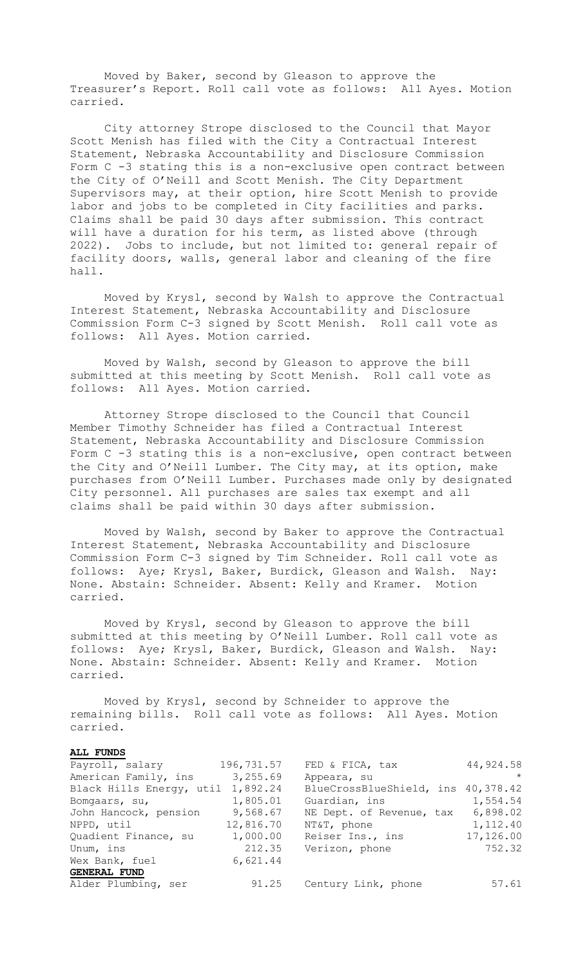Moved by Baker, second by Gleason to approve the Treasurer's Report. Roll call vote as follows: All Ayes. Motion carried.

City attorney Strope disclosed to the Council that Mayor Scott Menish has filed with the City a Contractual Interest Statement, Nebraska Accountability and Disclosure Commission Form C -3 stating this is a non-exclusive open contract between the City of O'Neill and Scott Menish. The City Department Supervisors may, at their option, hire Scott Menish to provide labor and jobs to be completed in City facilities and parks. Claims shall be paid 30 days after submission. This contract will have a duration for his term, as listed above (through 2022). Jobs to include, but not limited to: general repair of facility doors, walls, general labor and cleaning of the fire hall.

Moved by Krysl, second by Walsh to approve the Contractual Interest Statement, Nebraska Accountability and Disclosure Commission Form C-3 signed by Scott Menish. Roll call vote as follows: All Ayes. Motion carried.

Moved by Walsh, second by Gleason to approve the bill submitted at this meeting by Scott Menish. Roll call vote as follows: All Ayes. Motion carried.

Attorney Strope disclosed to the Council that Council Member Timothy Schneider has filed a Contractual Interest Statement, Nebraska Accountability and Disclosure Commission Form C -3 stating this is a non-exclusive, open contract between the City and O'Neill Lumber. The City may, at its option, make purchases from O'Neill Lumber. Purchases made only by designated City personnel. All purchases are sales tax exempt and all claims shall be paid within 30 days after submission.

Moved by Walsh, second by Baker to approve the Contractual Interest Statement, Nebraska Accountability and Disclosure Commission Form C-3 signed by Tim Schneider. Roll call vote as follows: Aye; Krysl, Baker, Burdick, Gleason and Walsh. Nay: None. Abstain: Schneider. Absent: Kelly and Kramer. Motion carried.

Moved by Krysl, second by Gleason to approve the bill submitted at this meeting by O'Neill Lumber. Roll call vote as follows: Aye; Krysl, Baker, Burdick, Gleason and Walsh. Nay: None. Abstain: Schneider. Absent: Kelly and Kramer. Motion carried.

Moved by Krysl, second by Schneider to approve the remaining bills. Roll call vote as follows: All Ayes. Motion carried.

## **ALL FUNDS**

| 196,731.57                        | FED & FICA, tax                    | 44,924.58 |
|-----------------------------------|------------------------------------|-----------|
| 3, 255.69                         | Appeara, su                        | $\star$   |
| Black Hills Energy, util 1,892.24 | BlueCrossBlueShield, ins 40,378.42 |           |
| 1,805.01                          | Guardian, ins                      | 1,554.54  |
| 9,568.67                          | NE Dept. of Revenue, tax           | 6,898.02  |
| 12,816.70                         | NT&T, phone                        | 1,112.40  |
| 1,000.00                          | Reiser Ins., ins                   | 17,126.00 |
| 212.35                            | Verizon, phone                     | 752.32    |
| 6,621.44                          |                                    |           |
|                                   |                                    |           |
| 91.25                             | Century Link, phone                | 57.61     |
|                                   |                                    |           |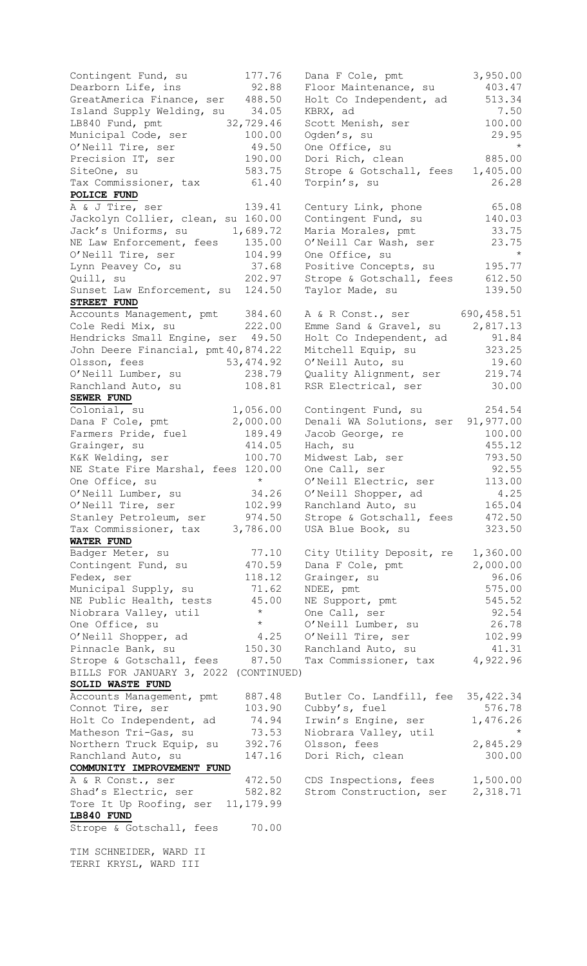Contingent Fund, su 177.76 Dana F Cole, pmt 3,950.00 Dearborn Life, ins 92.88 Floor Maintenance, su 403.47 GreatAmerica Finance, ser 488.50 Holt Co Independent, ad 513.34 Island Supply Welding, su 34.05 KBRX, ad 31.05 7.50 LB840 Fund, pmt 32,729.46 Scott Menish, ser 100.00 Municipal Code, ser 100.00 Ogden's, su 29.95 O'Neill Tire, ser 49.50 One Office, su \* Precision IT, ser  $190.00$  Dori Rich, clean  $885.00$ SiteOne, su 583.75 Strope & Gotschall, fees 1,405.00 Tax Commissioner, tax 61.40 Torpin's, su and 26.28 **POLICE FUND** A & J Tire, ser 139.41 Century Link, phone 65.08 Jackolyn Collier, clean, su 160.00 Contingent Fund, su 140.03 Jack's Uniforms, su and 1,689.72 Maria Morales, pmt and 33.75 NE Law Enforcement, fees 135.00 0'Neill Car Wash, ser 33.75 O'Neill Tire, ser 104.99 One Office, su \* Lynn Peavey Co, su 37.68 Positive Concepts, su 195.77 Quill, su 202.97 Strope & Gotschall, fees 612.50 Sunset Law Enforcement, su 124.50 Taylor Made, su 139.50 **STREET FUND** Accounts Management, pmt 384.60 A & R Const., ser 690,458.51 Cole Redi Mix, su 222.00 Emme Sand & Gravel, su 2,817.13 Hendricks Small Engine, ser 49.50 Holt Co Independent, ad 31.84 John Deere Financial, pmt40,874.22 Mitchell Equip, su 323.25 Olsson, fees 63,474.92 O'Neill Auto, su 19.60 O'Neill Lumber, su and 238.79 Quality Alignment, ser and 219.74 Ranchland Auto, su 108.81 RSR Electrical, ser 30.00 **SEWER FUND**  $\text{Colonial}$ , su  $\text{Colonial}$ ,  $\text{S}4.54$ Dana F Cole, pmt 2,000.00 Denali WA Solutions, ser 91,977.00 Farmers Pride, fuel  $189.49$  Jacob George, re  $100.00$ Grainger, su 314.05 Hach, su 35.12 K&K Welding, ser 100.70 Midwest Lab, ser 793.50 NE State Fire Marshal, fees 120.00 One Call, ser  $92.55$ One Office, su  $\longrightarrow$  O'Neill Electric, ser 113.00 O'Neill Lumber, su 34.26 O'Neill Shopper, ad 4.25 O'Neill Tire, ser 102.99 Ranchland Auto, su 165.04 Stanley Petroleum, ser 374.50 Strope & Gotschall, fees 472.50 Tax Commissioner, tax 3,786.00 USA Blue Book, su 323.50 **WATER FUND** Badger Meter, su 77.10 City Utility Deposit, re 1,360.00 Contingent Fund, su  $470.59$  Dana F Cole, pmt  $2,000.00$ Fedex, ser 118.12 Grainger, su 96.06 Municipal Supply, su  $71.62$  NDEE, pmt 575.00 NE Public Health, tests  $45.00$  NE Support, pmt 545.52 Niobrara Valley, util  $\qquad \qquad ^{\star} \qquad$  One Call, ser  $\qquad \qquad$  92.54 One Office, su \* O'Neill Lumber, su 26.78 O'Neill Shopper, ad 4.25 O'Neill Tire, ser 102.99 Pinnacle Bank, su  $150.30$  Ranchland Auto, su  $41.31$ Strope & Gotschall, fees 87.50 Tax Commissioner, tax 4,922.96 BILLS FOR JANUARY 3, 2022 (CONTINUED) **SOLID WASTE FUND** Accounts Management, pmt 887.48 Butler Co. Landfill, fee 35,422.34 Connot Tire, ser  $103.90$  Cubby's, fuel  $576.78$ Holt Co Independent, ad 74.94 Irwin's Engine, ser 1,476.26 Matheson Tri-Gas, su 73.53 Niobrara Valley, util \* Northern Truck Equip, su 392.76 Olsson, fees  $2,845.29$ Ranchland Auto, su and 147.16 Dori Rich, clean and 300.00 **COMMUNITY IMPROVEMENT FUND** A & R Const., ser  $472.50$  CDS Inspections, fees 1,500.00 Shad's Electric, ser 582.82 Strom Construction, ser 2,318.71 Tore It Up Roofing, ser 11,179.99 **LB840 FUND** Strope & Gotschall, fees 70.00 TIM SCHNEIDER, WARD II TERRI KRYSL, WARD III